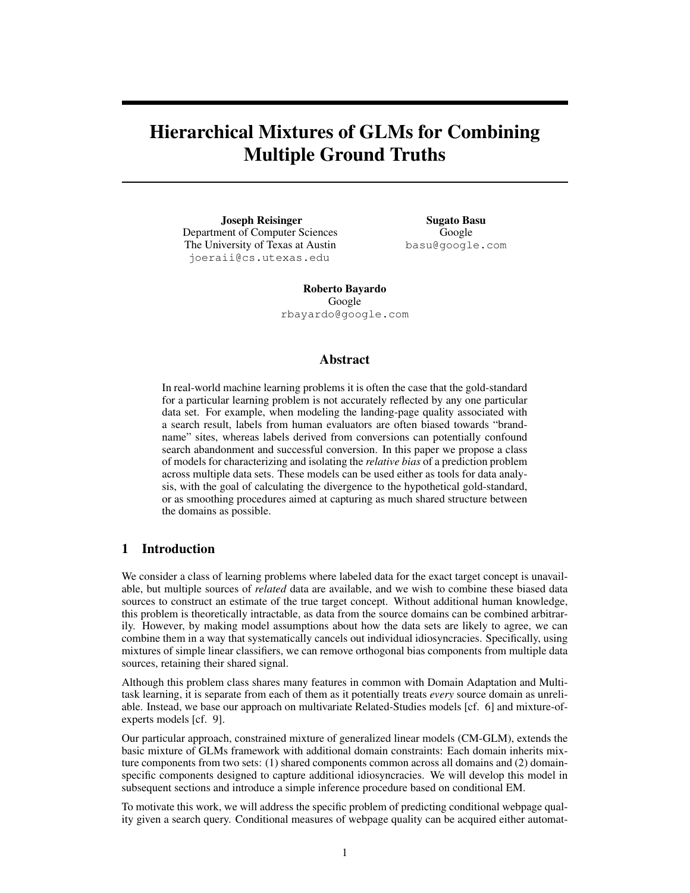# Hierarchical Mixtures of GLMs for Combining Multiple Ground Truths

Joseph Reisinger Department of Computer Sciences The University of Texas at Austin joeraii@cs.utexas.edu

Sugato Basu Google basu@google.com

Roberto Bayardo Google rbayardo@google.com

## Abstract

In real-world machine learning problems it is often the case that the gold-standard for a particular learning problem is not accurately reflected by any one particular data set. For example, when modeling the landing-page quality associated with a search result, labels from human evaluators are often biased towards "brandname" sites, whereas labels derived from conversions can potentially confound search abandonment and successful conversion. In this paper we propose a class of models for characterizing and isolating the *relative bias* of a prediction problem across multiple data sets. These models can be used either as tools for data analysis, with the goal of calculating the divergence to the hypothetical gold-standard, or as smoothing procedures aimed at capturing as much shared structure between the domains as possible.

## 1 Introduction

We consider a class of learning problems where labeled data for the exact target concept is unavailable, but multiple sources of *related* data are available, and we wish to combine these biased data sources to construct an estimate of the true target concept. Without additional human knowledge, this problem is theoretically intractable, as data from the source domains can be combined arbitrarily. However, by making model assumptions about how the data sets are likely to agree, we can combine them in a way that systematically cancels out individual idiosyncracies. Specifically, using mixtures of simple linear classifiers, we can remove orthogonal bias components from multiple data sources, retaining their shared signal.

Although this problem class shares many features in common with Domain Adaptation and Multitask learning, it is separate from each of them as it potentially treats *every* source domain as unreliable. Instead, we base our approach on multivariate Related-Studies models [cf. 6] and mixture-ofexperts models [cf. 9].

Our particular approach, constrained mixture of generalized linear models (CM-GLM), extends the basic mixture of GLMs framework with additional domain constraints: Each domain inherits mixture components from two sets: (1) shared components common across all domains and (2) domainspecific components designed to capture additional idiosyncracies. We will develop this model in subsequent sections and introduce a simple inference procedure based on conditional EM.

To motivate this work, we will address the specific problem of predicting conditional webpage quality given a search query. Conditional measures of webpage quality can be acquired either automat-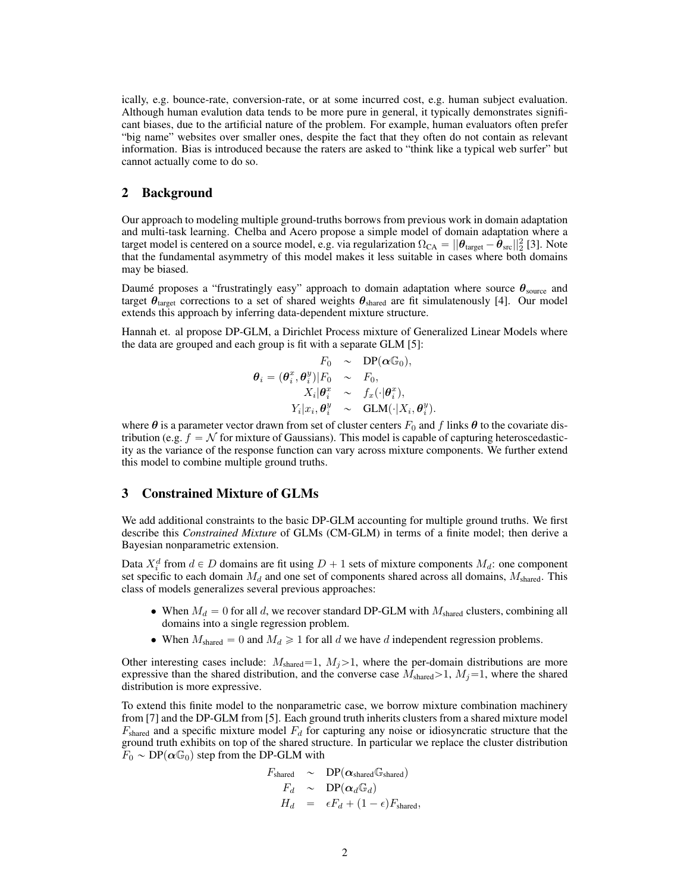ically, e.g. bounce-rate, conversion-rate, or at some incurred cost, e.g. human subject evaluation. Although human evalution data tends to be more pure in general, it typically demonstrates significant biases, due to the artificial nature of the problem. For example, human evaluators often prefer "big name" websites over smaller ones, despite the fact that they often do not contain as relevant information. Bias is introduced because the raters are asked to "think like a typical web surfer" but cannot actually come to do so.

#### 2 Background

Our approach to modeling multiple ground-truths borrows from previous work in domain adaptation and multi-task learning. Chelba and Acero propose a simple model of domain adaptation where a target model is centered on a source model, e.g. via regularization  $\Omega_{CA} = ||\theta_{\text{target}} - \theta_{\text{src}}||^2_2$  [3]. Note that the fundamental asymmetry of this model makes it less suitable in cases where both domains may be biased.

Daumé proposes a "frustratingly easy" approach to domain adaptation where source  $\theta_{\text{source}}$  and target  $\theta_{\text{target}}$  corrections to a set of shared weights  $\theta_{\text{shared}}$  are fit simulatenously [4]. Our model extends this approach by inferring data-dependent mixture structure.

Hannah et. al propose DP-GLM, a Dirichlet Process mixture of Generalized Linear Models where the data are grouped and each group is fit with a separate GLM [5]:

$$
\theta_i = (\theta_i^x, \theta_i^y)|F_0 \sim \text{DP}(\alpha \mathbb{G}_0),
$$
  
\n
$$
X_i|\theta_i^x \sim f_x(\cdot|\theta_i^x),
$$
  
\n
$$
Y_i|x_i, \theta_i^y \sim \text{GLM}(\cdot|X_i, \theta_i^y).
$$

where  $\theta$  is a parameter vector drawn from set of cluster centers  $F_0$  and f links  $\theta$  to the covariate distribution (e.g.  $f = \mathcal{N}$  for mixture of Gaussians). This model is capable of capturing heteroscedasticity as the variance of the response function can vary across mixture components. We further extend this model to combine multiple ground truths.

#### 3 Constrained Mixture of GLMs

We add additional constraints to the basic DP-GLM accounting for multiple ground truths. We first describe this *Constrained Mixture* of GLMs (CM-GLM) in terms of a finite model; then derive a Bayesian nonparametric extension.

Data  $X_i^d$  from  $d \in D$  domains are fit using  $D + 1$  sets of mixture components  $M_d$ : one component set specific to each domain  $M_d$  and one set of components shared across all domains,  $M_{shared}$ . This class of models generalizes several previous approaches:

- When  $M_d = 0$  for all d, we recover standard DP-GLM with  $M_{shared}$  clusters, combining all domains into a single regression problem.
- When  $M_{\text{shared}} = 0$  and  $M_d \ge 1$  for all d we have d independent regression problems.

Other interesting cases include:  $M_{\text{shared}}=1, M_j>1$ , where the per-domain distributions are more expressive than the shared distribution, and the converse case  $M_{shared} > 1$ ,  $M_j = 1$ , where the shared distribution is more expressive.

To extend this finite model to the nonparametric case, we borrow mixture combination machinery from [7] and the DP-GLM from [5]. Each ground truth inherits clusters from a shared mixture model  $F_{\text{shared}}$  and a specific mixture model  $F_d$  for capturing any noise or idiosyncratic structure that the ground truth exhibits on top of the shared structure. In particular we replace the cluster distribution  $F_0 \sim DP(\alpha \mathbb{G}_0)$  step from the DP-GLM with

$$
F_{\text{shared}} \sim DP(\alpha_{\text{shared}} \mathbb{G}_{\text{shared}})
$$
  
\n
$$
F_d \sim DP(\alpha_d \mathbb{G}_d)
$$
  
\n
$$
H_d = \epsilon F_d + (1 - \epsilon) F_{\text{shared}},
$$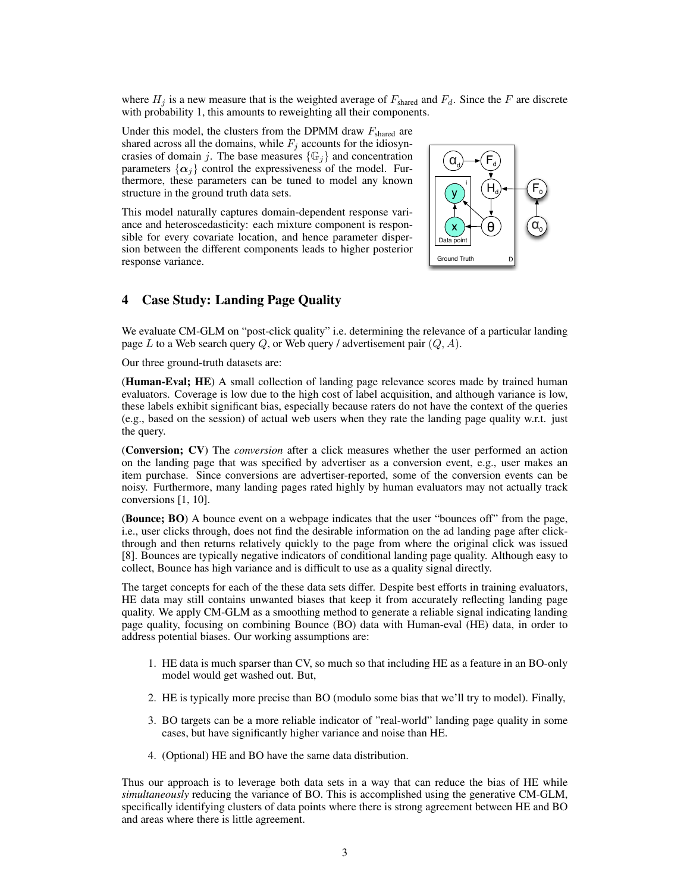where  $H_i$  is a new measure that is the weighted average of  $F_{shared}$  and  $F_d$ . Since the F are discrete with probability 1, this amounts to reweighting all their components.

Under this model, the clusters from the DPMM draw  $F_{\text{shared}}$  are shared across all the domains, while  $F_j$  accounts for the idiosyncrasies of domain j. The base measures  $\{\mathbb{G}_i\}$  and concentration parameters  $\{\alpha_i\}$  control the expressiveness of the model. Furthermore, these parameters can be tuned to model any known structure in the ground truth data sets.

This model naturally captures domain-dependent response variance and heteroscedasticity: each mixture component is responsible for every covariate location, and hence parameter dispersion between the different components leads to higher posterior response variance.



# 4 Case Study: Landing Page Quality

We evaluate CM-GLM on "post-click quality" i.e. determining the relevance of a particular landing page L to a Web search query Q, or Web query / advertisement pair  $(Q, A)$ .

Our three ground-truth datasets are:

(Human-Eval; HE) A small collection of landing page relevance scores made by trained human evaluators. Coverage is low due to the high cost of label acquisition, and although variance is low, these labels exhibit significant bias, especially because raters do not have the context of the queries (e.g., based on the session) of actual web users when they rate the landing page quality w.r.t. just the query.

(Conversion; CV) The *conversion* after a click measures whether the user performed an action on the landing page that was specified by advertiser as a conversion event, e.g., user makes an item purchase. Since conversions are advertiser-reported, some of the conversion events can be noisy. Furthermore, many landing pages rated highly by human evaluators may not actually track conversions [1, 10].

(Bounce; BO) A bounce event on a webpage indicates that the user "bounces off" from the page, i.e., user clicks through, does not find the desirable information on the ad landing page after clickthrough and then returns relatively quickly to the page from where the original click was issued [8]. Bounces are typically negative indicators of conditional landing page quality. Although easy to collect, Bounce has high variance and is difficult to use as a quality signal directly.

The target concepts for each of the these data sets differ. Despite best efforts in training evaluators, HE data may still contains unwanted biases that keep it from accurately reflecting landing page quality. We apply CM-GLM as a smoothing method to generate a reliable signal indicating landing page quality, focusing on combining Bounce (BO) data with Human-eval (HE) data, in order to address potential biases. Our working assumptions are:

- 1. HE data is much sparser than CV, so much so that including HE as a feature in an BO-only model would get washed out. But,
- 2. HE is typically more precise than BO (modulo some bias that we'll try to model). Finally,
- 3. BO targets can be a more reliable indicator of "real-world" landing page quality in some cases, but have significantly higher variance and noise than HE.
- 4. (Optional) HE and BO have the same data distribution.

Thus our approach is to leverage both data sets in a way that can reduce the bias of HE while *simultaneously* reducing the variance of BO. This is accomplished using the generative CM-GLM, specifically identifying clusters of data points where there is strong agreement between HE and BO and areas where there is little agreement.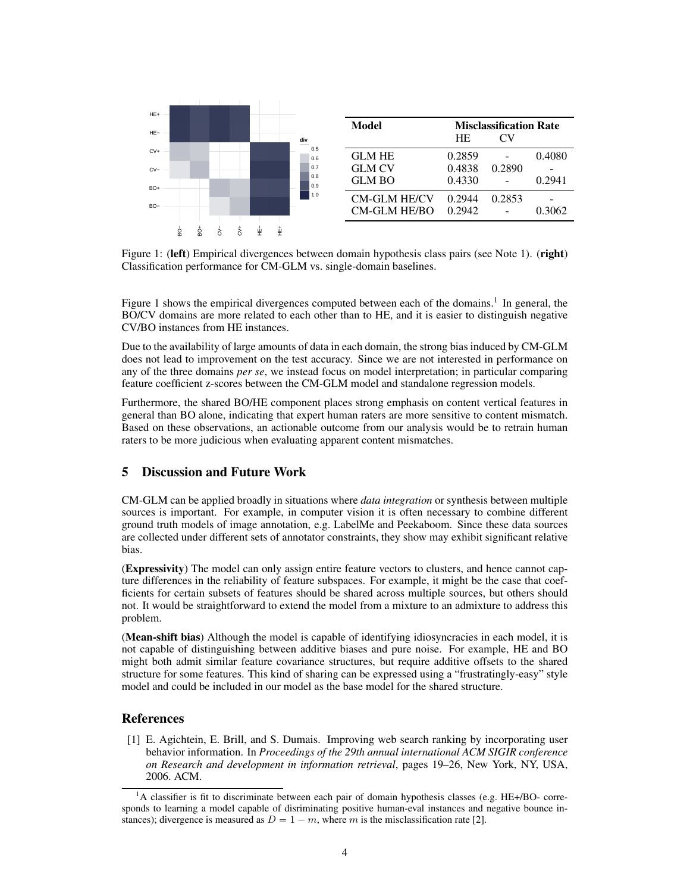

Figure 1: (left) Empirical divergences between domain hypothesis class pairs (see Note 1). (right) Classification performance for CM-GLM vs. single-domain baselines.

Figure 1 shows the empirical divergences computed between each of the domains.<sup>1</sup> In general, the BO/CV domains are more related to each other than to HE, and it is easier to distinguish negative CV/BO instances from HE instances.

Due to the availability of large amounts of data in each domain, the strong bias induced by CM-GLM does not lead to improvement on the test accuracy. Since we are not interested in performance on any of the three domains *per se*, we instead focus on model interpretation; in particular comparing feature coefficient z-scores between the CM-GLM model and standalone regression models.

Furthermore, the shared BO/HE component places strong emphasis on content vertical features in general than BO alone, indicating that expert human raters are more sensitive to content mismatch. Based on these observations, an actionable outcome from our analysis would be to retrain human raters to be more judicious when evaluating apparent content mismatches.

## 5 Discussion and Future Work

CM-GLM can be applied broadly in situations where *data integration* or synthesis between multiple sources is important. For example, in computer vision it is often necessary to combine different ground truth models of image annotation, e.g. LabelMe and Peekaboom. Since these data sources are collected under different sets of annotator constraints, they show may exhibit significant relative bias.

(Expressivity) The model can only assign entire feature vectors to clusters, and hence cannot capture differences in the reliability of feature subspaces. For example, it might be the case that coefficients for certain subsets of features should be shared across multiple sources, but others should not. It would be straightforward to extend the model from a mixture to an admixture to address this problem.

(Mean-shift bias) Although the model is capable of identifying idiosyncracies in each model, it is not capable of distinguishing between additive biases and pure noise. For example, HE and BO might both admit similar feature covariance structures, but require additive offsets to the shared structure for some features. This kind of sharing can be expressed using a "frustratingly-easy" style model and could be included in our model as the base model for the shared structure.

# References

[1] E. Agichtein, E. Brill, and S. Dumais. Improving web search ranking by incorporating user behavior information. In *Proceedings of the 29th annual international ACM SIGIR conference on Research and development in information retrieval*, pages 19–26, New York, NY, USA, 2006. ACM.

<sup>&</sup>lt;sup>1</sup>A classifier is fit to discriminate between each pair of domain hypothesis classes (e.g. HE+/BO- corresponds to learning a model capable of disriminating positive human-eval instances and negative bounce instances); divergence is measured as  $D = 1 - m$ , where m is the misclassification rate [2].